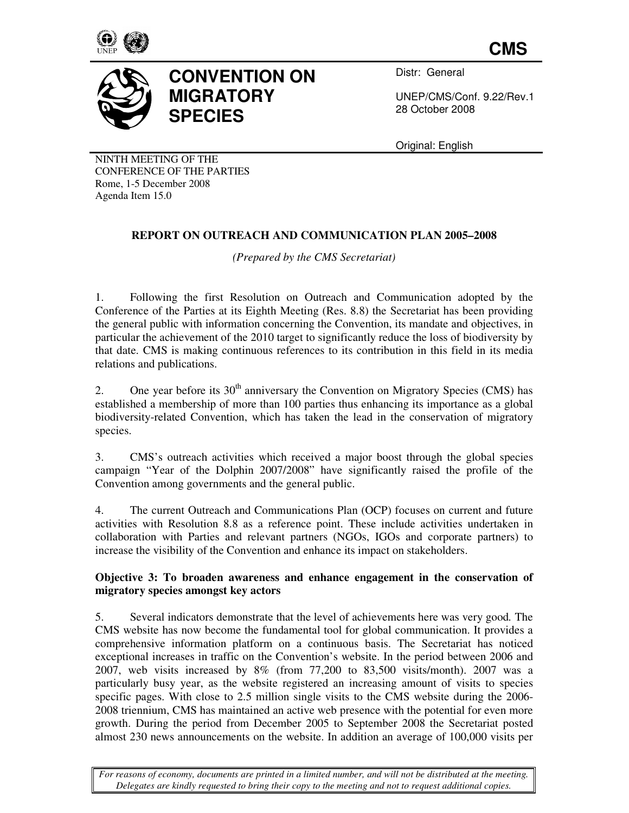

**CMS**



# **CONVENTION ON MIGRATORY SPECIES**

Distr: General

UNEP/CMS/Conf. 9.22/Rev.1 28 October 2008

Original: English

NINTH MEETING OF THE CONFERENCE OF THE PARTIES Rome, 1-5 December 2008 Agenda Item 15.0

# **REPORT ON OUTREACH AND COMMUNICATION PLAN 2005–2008**

*(Prepared by the CMS Secretariat)* 

1. Following the first Resolution on Outreach and Communication adopted by the Conference of the Parties at its Eighth Meeting (Res. 8.8) the Secretariat has been providing the general public with information concerning the Convention, its mandate and objectives, in particular the achievement of the 2010 target to significantly reduce the loss of biodiversity by that date. CMS is making continuous references to its contribution in this field in its media relations and publications.

2. One year before its  $30<sup>th</sup>$  anniversary the Convention on Migratory Species (CMS) has established a membership of more than 100 parties thus enhancing its importance as a global biodiversity-related Convention, which has taken the lead in the conservation of migratory species.

3. CMS's outreach activities which received a major boost through the global species campaign "Year of the Dolphin 2007/2008" have significantly raised the profile of the Convention among governments and the general public.

4. The current Outreach and Communications Plan (OCP) focuses on current and future activities with Resolution 8.8 as a reference point. These include activities undertaken in collaboration with Parties and relevant partners (NGOs, IGOs and corporate partners) to increase the visibility of the Convention and enhance its impact on stakeholders.

## **Objective 3: To broaden awareness and enhance engagement in the conservation of migratory species amongst key actors**

5. Several indicators demonstrate that the level of achievements here was very good*.* The CMS website has now become the fundamental tool for global communication. It provides a comprehensive information platform on a continuous basis. The Secretariat has noticed exceptional increases in traffic on the Convention's website. In the period between 2006 and 2007, web visits increased by 8% (from 77,200 to 83,500 visits/month). 2007 was a particularly busy year, as the website registered an increasing amount of visits to species specific pages. With close to 2.5 million single visits to the CMS website during the 2006- 2008 triennium, CMS has maintained an active web presence with the potential for even more growth. During the period from December 2005 to September 2008 the Secretariat posted almost 230 news announcements on the website. In addition an average of 100,000 visits per

*For reasons of economy, documents are printed in a limited number, and will not be distributed at the meeting. Delegates are kindly requested to bring their copy to the meeting and not to request additional copies.*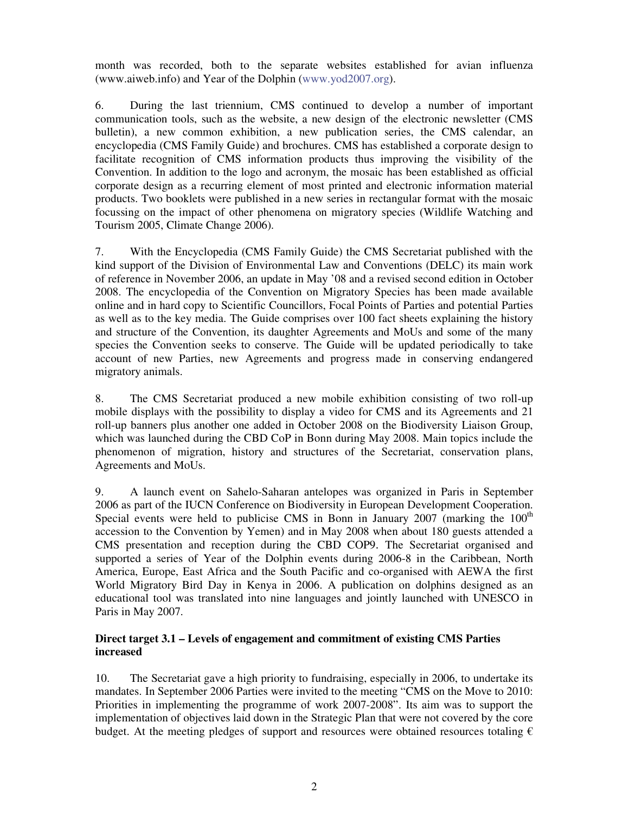month was recorded, both to the separate websites established for avian influenza (www.aiweb.info) and Year of the Dolphin (www.yod2007.org).

6. During the last triennium, CMS continued to develop a number of important communication tools, such as the website, a new design of the electronic newsletter (CMS bulletin), a new common exhibition, a new publication series, the CMS calendar, an encyclopedia (CMS Family Guide) and brochures. CMS has established a corporate design to facilitate recognition of CMS information products thus improving the visibility of the Convention. In addition to the logo and acronym, the mosaic has been established as official corporate design as a recurring element of most printed and electronic information material products. Two booklets were published in a new series in rectangular format with the mosaic focussing on the impact of other phenomena on migratory species (Wildlife Watching and Tourism 2005, Climate Change 2006).

7. With the Encyclopedia (CMS Family Guide) the CMS Secretariat published with the kind support of the Division of Environmental Law and Conventions (DELC) its main work of reference in November 2006, an update in May '08 and a revised second edition in October 2008. The encyclopedia of the Convention on Migratory Species has been made available online and in hard copy to Scientific Councillors, Focal Points of Parties and potential Parties as well as to the key media. The Guide comprises over 100 fact sheets explaining the history and structure of the Convention, its daughter Agreements and MoUs and some of the many species the Convention seeks to conserve. The Guide will be updated periodically to take account of new Parties, new Agreements and progress made in conserving endangered migratory animals.

8. The CMS Secretariat produced a new mobile exhibition consisting of two roll-up mobile displays with the possibility to display a video for CMS and its Agreements and 21 roll-up banners plus another one added in October 2008 on the Biodiversity Liaison Group, which was launched during the CBD CoP in Bonn during May 2008. Main topics include the phenomenon of migration, history and structures of the Secretariat, conservation plans, Agreements and MoUs.

9. A launch event on Sahelo-Saharan antelopes was organized in Paris in September 2006 as part of the IUCN Conference on Biodiversity in European Development Cooperation. Special events were held to publicise CMS in Bonn in January  $2007$  (marking the  $100<sup>th</sup>$ accession to the Convention by Yemen) and in May 2008 when about 180 guests attended a CMS presentation and reception during the CBD COP9. The Secretariat organised and supported a series of Year of the Dolphin events during 2006-8 in the Caribbean, North America, Europe, East Africa and the South Pacific and co-organised with AEWA the first World Migratory Bird Day in Kenya in 2006. A publication on dolphins designed as an educational tool was translated into nine languages and jointly launched with UNESCO in Paris in May 2007.

#### **Direct target 3.1 – Levels of engagement and commitment of existing CMS Parties increased**

10. The Secretariat gave a high priority to fundraising, especially in 2006, to undertake its mandates. In September 2006 Parties were invited to the meeting "CMS on the Move to 2010: Priorities in implementing the programme of work 2007-2008". Its aim was to support the implementation of objectives laid down in the Strategic Plan that were not covered by the core budget. At the meeting pledges of support and resources were obtained resources totaling  $\epsilon$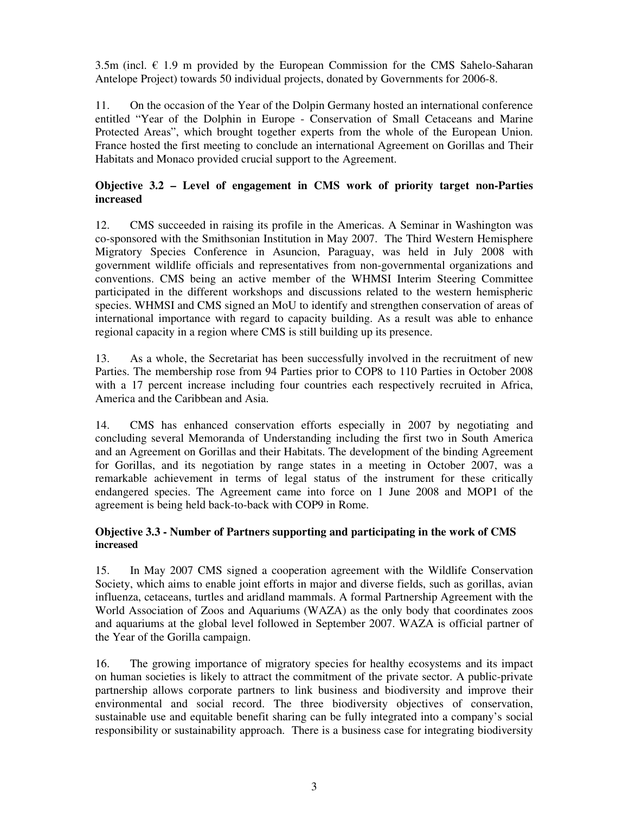3.5m (incl.  $\epsilon$  1.9 m provided by the European Commission for the CMS Sahelo-Saharan Antelope Project) towards 50 individual projects, donated by Governments for 2006-8.

11. On the occasion of the Year of the Dolpin Germany hosted an international conference entitled "Year of the Dolphin in Europe - Conservation of Small Cetaceans and Marine Protected Areas", which brought together experts from the whole of the European Union. France hosted the first meeting to conclude an international Agreement on Gorillas and Their Habitats and Monaco provided crucial support to the Agreement.

## **Objective 3.2 – Level of engagement in CMS work of priority target non-Parties increased**

12. CMS succeeded in raising its profile in the Americas. A Seminar in Washington was co-sponsored with the Smithsonian Institution in May 2007. The Third Western Hemisphere Migratory Species Conference in Asuncion, Paraguay, was held in July 2008 with government wildlife officials and representatives from non-governmental organizations and conventions. CMS being an active member of the WHMSI Interim Steering Committee participated in the different workshops and discussions related to the western hemispheric species. WHMSI and CMS signed an MoU to identify and strengthen conservation of areas of international importance with regard to capacity building. As a result was able to enhance regional capacity in a region where CMS is still building up its presence.

13. As a whole, the Secretariat has been successfully involved in the recruitment of new Parties. The membership rose from 94 Parties prior to COP8 to 110 Parties in October 2008 with a 17 percent increase including four countries each respectively recruited in Africa, America and the Caribbean and Asia.

14. CMS has enhanced conservation efforts especially in 2007 by negotiating and concluding several Memoranda of Understanding including the first two in South America and an Agreement on Gorillas and their Habitats. The development of the binding Agreement for Gorillas, and its negotiation by range states in a meeting in October 2007, was a remarkable achievement in terms of legal status of the instrument for these critically endangered species. The Agreement came into force on 1 June 2008 and MOP1 of the agreement is being held back-to-back with COP9 in Rome.

#### **Objective 3.3 - Number of Partners supporting and participating in the work of CMS increased**

15. In May 2007 CMS signed a cooperation agreement with the Wildlife Conservation Society, which aims to enable joint efforts in major and diverse fields, such as gorillas, avian influenza, cetaceans, turtles and aridland mammals. A formal Partnership Agreement with the World Association of Zoos and Aquariums (WAZA) as the only body that coordinates zoos and aquariums at the global level followed in September 2007. WAZA is official partner of the Year of the Gorilla campaign.

16. The growing importance of migratory species for healthy ecosystems and its impact on human societies is likely to attract the commitment of the private sector. A public-private partnership allows corporate partners to link business and biodiversity and improve their environmental and social record. The three biodiversity objectives of conservation, sustainable use and equitable benefit sharing can be fully integrated into a company's social responsibility or sustainability approach. There is a business case for integrating biodiversity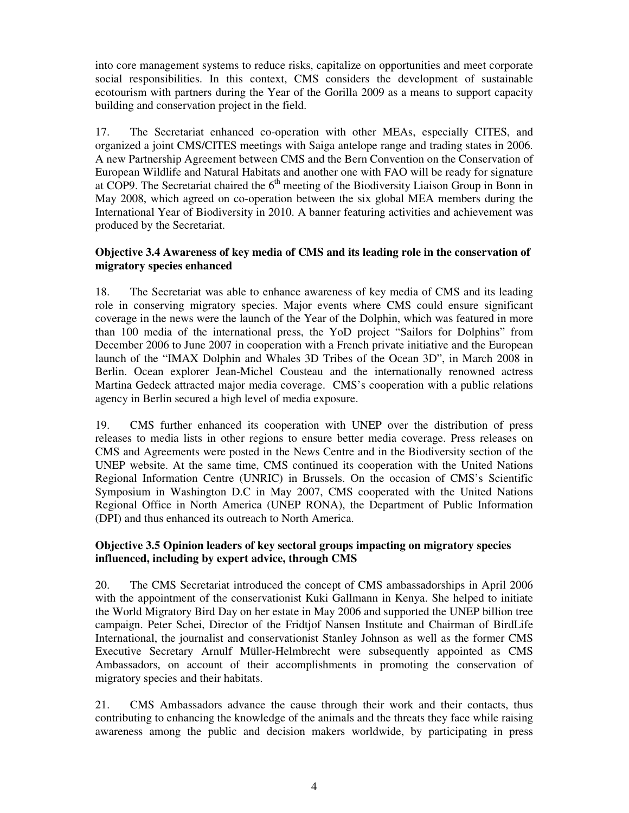into core management systems to reduce risks, capitalize on opportunities and meet corporate social responsibilities. In this context, CMS considers the development of sustainable ecotourism with partners during the Year of the Gorilla 2009 as a means to support capacity building and conservation project in the field.

17. The Secretariat enhanced co-operation with other MEAs, especially CITES, and organized a joint CMS/CITES meetings with Saiga antelope range and trading states in 2006. A new Partnership Agreement between CMS and the Bern Convention on the Conservation of European Wildlife and Natural Habitats and another one with FAO will be ready for signature at COP9. The Secretariat chaired the  $6<sup>th</sup>$  meeting of the Biodiversity Liaison Group in Bonn in May 2008, which agreed on co-operation between the six global MEA members during the International Year of Biodiversity in 2010. A banner featuring activities and achievement was produced by the Secretariat.

#### **Objective 3.4 Awareness of key media of CMS and its leading role in the conservation of migratory species enhanced**

18. The Secretariat was able to enhance awareness of key media of CMS and its leading role in conserving migratory species. Major events where CMS could ensure significant coverage in the news were the launch of the Year of the Dolphin, which was featured in more than 100 media of the international press, the YoD project "Sailors for Dolphins" from December 2006 to June 2007 in cooperation with a French private initiative and the European launch of the "IMAX Dolphin and Whales 3D Tribes of the Ocean 3D", in March 2008 in Berlin. Ocean explorer Jean-Michel Cousteau and the internationally renowned actress Martina Gedeck attracted major media coverage. CMS's cooperation with a public relations agency in Berlin secured a high level of media exposure.

19. CMS further enhanced its cooperation with UNEP over the distribution of press releases to media lists in other regions to ensure better media coverage. Press releases on CMS and Agreements were posted in the News Centre and in the Biodiversity section of the UNEP website. At the same time, CMS continued its cooperation with the United Nations Regional Information Centre (UNRIC) in Brussels. On the occasion of CMS's Scientific Symposium in Washington D.C in May 2007, CMS cooperated with the United Nations Regional Office in North America (UNEP RONA), the Department of Public Information (DPI) and thus enhanced its outreach to North America.

#### **Objective 3.5 Opinion leaders of key sectoral groups impacting on migratory species influenced, including by expert advice, through CMS**

20. The CMS Secretariat introduced the concept of CMS ambassadorships in April 2006 with the appointment of the conservationist Kuki Gallmann in Kenya. She helped to initiate the World Migratory Bird Day on her estate in May 2006 and supported the UNEP billion tree campaign. Peter Schei, Director of the Fridtjof Nansen Institute and Chairman of BirdLife International, the journalist and conservationist Stanley Johnson as well as the former CMS Executive Secretary Arnulf Müller-Helmbrecht were subsequently appointed as CMS Ambassadors, on account of their accomplishments in promoting the conservation of migratory species and their habitats.

21. CMS Ambassadors advance the cause through their work and their contacts, thus contributing to enhancing the knowledge of the animals and the threats they face while raising awareness among the public and decision makers worldwide, by participating in press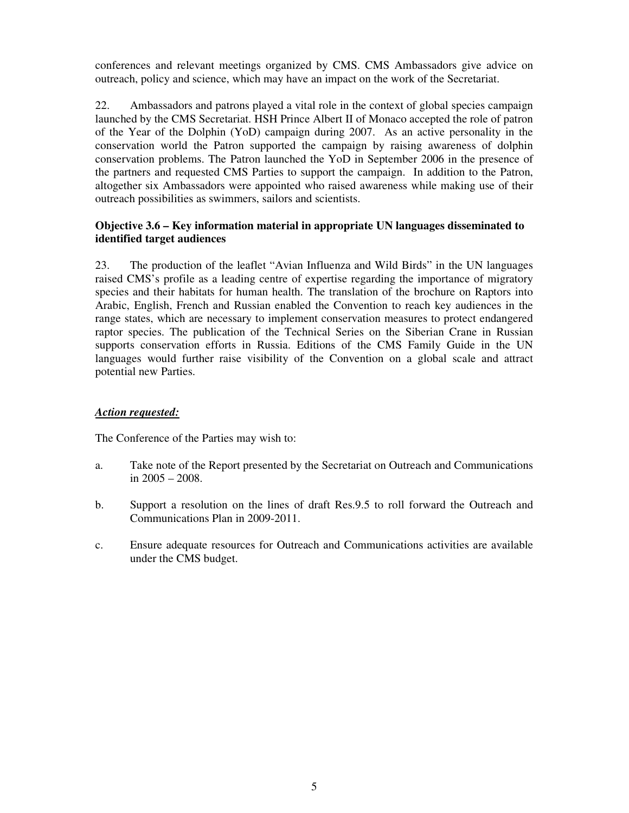conferences and relevant meetings organized by CMS. CMS Ambassadors give advice on outreach, policy and science, which may have an impact on the work of the Secretariat.

22. Ambassadors and patrons played a vital role in the context of global species campaign launched by the CMS Secretariat. HSH Prince Albert II of Monaco accepted the role of patron of the Year of the Dolphin (YoD) campaign during 2007. As an active personality in the conservation world the Patron supported the campaign by raising awareness of dolphin conservation problems. The Patron launched the YoD in September 2006 in the presence of the partners and requested CMS Parties to support the campaign. In addition to the Patron, altogether six Ambassadors were appointed who raised awareness while making use of their outreach possibilities as swimmers, sailors and scientists.

#### **Objective 3.6 – Key information material in appropriate UN languages disseminated to identified target audiences**

23. The production of the leaflet "Avian Influenza and Wild Birds" in the UN languages raised CMS's profile as a leading centre of expertise regarding the importance of migratory species and their habitats for human health. The translation of the brochure on Raptors into Arabic, English, French and Russian enabled the Convention to reach key audiences in the range states, which are necessary to implement conservation measures to protect endangered raptor species. The publication of the Technical Series on the Siberian Crane in Russian supports conservation efforts in Russia. Editions of the CMS Family Guide in the UN languages would further raise visibility of the Convention on a global scale and attract potential new Parties.

#### *Action requested:*

The Conference of the Parties may wish to:

- a. Take note of the Report presented by the Secretariat on Outreach and Communications in 2005 – 2008.
- b. Support a resolution on the lines of draft Res.9.5 to roll forward the Outreach and Communications Plan in 2009-2011.
- c. Ensure adequate resources for Outreach and Communications activities are available under the CMS budget.